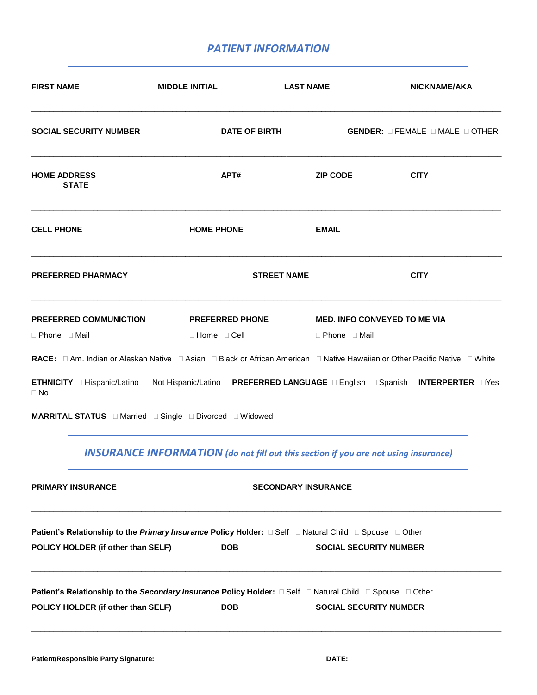## *PATIENT INFORMATION*

| <b>FIRST NAME</b>                                                                                             | <b>MIDDLE INITIAL</b>                                                                      | <b>LAST NAME</b>           | NICKNAME/AKA                                                                                              |
|---------------------------------------------------------------------------------------------------------------|--------------------------------------------------------------------------------------------|----------------------------|-----------------------------------------------------------------------------------------------------------|
| <b>SOCIAL SECURITY NUMBER</b>                                                                                 | <b>DATE OF BIRTH</b>                                                                       |                            | <b>GENDER:</b> $\Box$ FEMALE $\Box$ MALE $\Box$ OTHER                                                     |
| <b>HOME ADDRESS</b><br><b>STATE</b>                                                                           | APT#                                                                                       | <b>ZIP CODE</b>            | <b>CITY</b>                                                                                               |
| <b>CELL PHONE</b>                                                                                             | <b>HOME PHONE</b>                                                                          | <b>EMAIL</b>               |                                                                                                           |
| <b>PREFERRED PHARMACY</b>                                                                                     |                                                                                            | <b>STREET NAME</b>         | <b>CITY</b>                                                                                               |
| <b>PREFERRED COMMUNICTION</b>                                                                                 | <b>PREFERRED PHONE</b>                                                                     |                            | <b>MED. INFO CONVEYED TO ME VIA</b>                                                                       |
| □ Phone □ Mail                                                                                                | $\Box$ Home $\Box$ Cell                                                                    | $\Box$ Phone $\Box$ Mail   |                                                                                                           |
|                                                                                                               |                                                                                            |                            |                                                                                                           |
| $\Box$ No                                                                                                     |                                                                                            |                            | ETHNICITY I Hispanic/Latino I Not Hispanic/Latino PREFERRED LANGUAGE I English I Spanish INTERPERTER IYes |
| <b>MARRITAL STATUS Example Single E</b> Divorced E Widowed                                                    |                                                                                            |                            |                                                                                                           |
|                                                                                                               | <b>INSURANCE INFORMATION</b> (do not fill out this section if you are not using insurance) |                            |                                                                                                           |
| PRIMARY INSURANCE                                                                                             |                                                                                            | <b>SECONDARY INSURANCE</b> |                                                                                                           |
| Patient's Relationship to the <i>Primary Insurance</i> Policy Holder: □ Self □ Natural Child □ Spouse □ Other |                                                                                            |                            |                                                                                                           |
| POLICY HOLDER (if other than SELF)                                                                            | <b>DOB</b>                                                                                 |                            | <b>SOCIAL SECURITY NUMBER</b>                                                                             |
| Patient's Relationship to the Secondary Insurance Policy Holder: □ Self □ Natural Child □ Spouse □ Other      |                                                                                            |                            |                                                                                                           |
| POLICY HOLDER (if other than SELF)                                                                            | <b>DOB</b>                                                                                 |                            | <b>SOCIAL SECURITY NUMBER</b>                                                                             |
|                                                                                                               |                                                                                            |                            |                                                                                                           |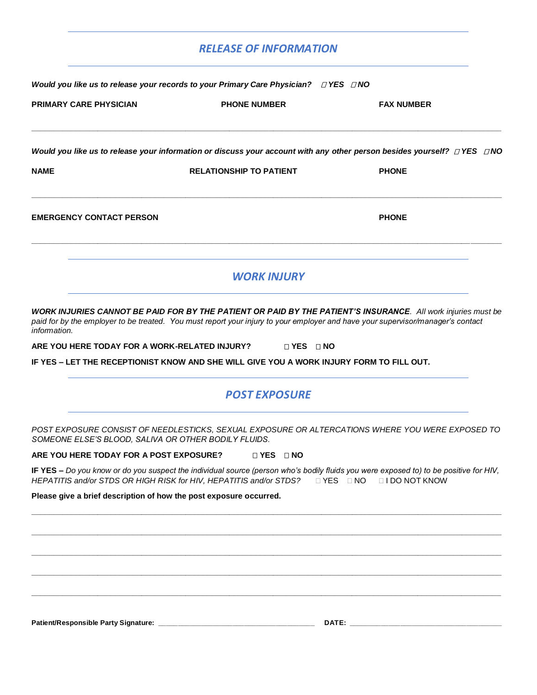## *RELEASE OF INFORMATION*

| Would you like us to release your records to your Primary Care Physician? $\Box$ YES $\Box$ NO |                                                                                                                                                                                                                                                                             |                                   |  |  |  |
|------------------------------------------------------------------------------------------------|-----------------------------------------------------------------------------------------------------------------------------------------------------------------------------------------------------------------------------------------------------------------------------|-----------------------------------|--|--|--|
| <b>PRIMARY CARE PHYSICIAN</b>                                                                  | <b>PHONE NUMBER</b>                                                                                                                                                                                                                                                         | <b>FAX NUMBER</b>                 |  |  |  |
|                                                                                                | Would you like us to release your information or discuss your account with any other person besides yourself? $\Box$ YES $\Box$ NO                                                                                                                                          |                                   |  |  |  |
| NAME                                                                                           | <b>RELATIONSHIP TO PATIENT</b>                                                                                                                                                                                                                                              | <b>PHONE</b>                      |  |  |  |
| <b>EMERGENCY CONTACT PERSON</b>                                                                |                                                                                                                                                                                                                                                                             | <b>PHONE</b>                      |  |  |  |
|                                                                                                | <b>WORK INJURY</b>                                                                                                                                                                                                                                                          |                                   |  |  |  |
| information.<br>ARE YOU HERE TODAY FOR A WORK-RELATED INJURY?                                  | paid for by the employer to be treated. You must report your injury to your employer and have your supervisor/manager's contact<br>$\Box$ YES $\Box$ NO<br>IF YES - LET THE RECEPTIONIST KNOW AND SHE WILL GIVE YOU A WORK INJURY FORM TO FILL OUT.<br><b>POST EXPOSURE</b> |                                   |  |  |  |
|                                                                                                |                                                                                                                                                                                                                                                                             |                                   |  |  |  |
| SOMEONE ELSE'S BLOOD, SALIVA OR OTHER BODILY FLUIDS.                                           | POST EXPOSURE CONSIST OF NEEDLESTICKS, SEXUAL EXPOSURE OR ALTERCATIONS WHERE YOU WERE EXPOSED TO                                                                                                                                                                            |                                   |  |  |  |
| ARE YOU HERE TODAY FOR A POST EXPOSURE?                                                        | $\Box$ YES $\Box$ NO                                                                                                                                                                                                                                                        |                                   |  |  |  |
|                                                                                                | IF YES - Do you know or do you suspect the individual source (person who's bodily fluids you were exposed to) to be positive for HIV,<br>HEPATITIS and/or STDS OR HIGH RISK for HIV, HEPATITIS and/or STDS?                                                                 | DYES DNO<br><b>LI DO NOT KNOW</b> |  |  |  |
| Please give a brief description of how the post exposure occurred.                             |                                                                                                                                                                                                                                                                             |                                   |  |  |  |
|                                                                                                |                                                                                                                                                                                                                                                                             |                                   |  |  |  |
|                                                                                                |                                                                                                                                                                                                                                                                             |                                   |  |  |  |
|                                                                                                |                                                                                                                                                                                                                                                                             |                                   |  |  |  |
|                                                                                                |                                                                                                                                                                                                                                                                             |                                   |  |  |  |
|                                                                                                |                                                                                                                                                                                                                                                                             |                                   |  |  |  |
|                                                                                                |                                                                                                                                                                                                                                                                             |                                   |  |  |  |